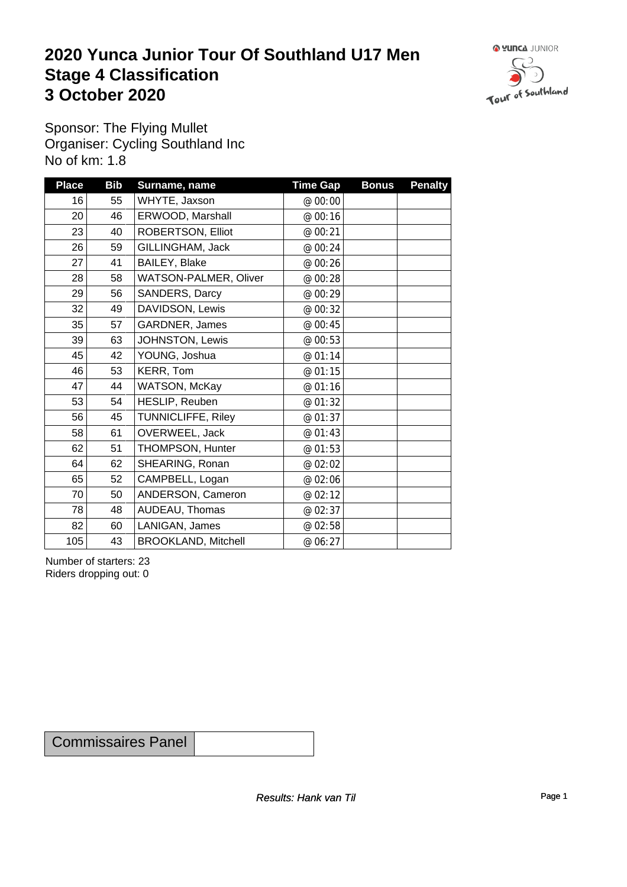## **2020 Yunca Junior Tour Of Southland U17 Men** Stage 4 Classification<br>3 October 2020 **3 October 2020**



Sponsor: The Flying Mullet Organiser: Cycling Southland Inc No of km: 1.8

| <b>Place</b>    | <b>Bib</b> | Surname, name              | <b>Time Gap</b> | <b>Bonus</b> | <b>Penalty</b> |
|-----------------|------------|----------------------------|-----------------|--------------|----------------|
| 16              | 55         | WHYTE, Jaxson              | @ 00:00         |              |                |
| 20 <sup>1</sup> | 46         | ERWOOD, Marshall           | @ 00:16         |              |                |
| 23              | 40         | ROBERTSON, Elliot          | @ 00:21         |              |                |
| 26              | 59         | GILLINGHAM, Jack           | @ 00:24         |              |                |
| 27              | 41         | BAILEY, Blake              | @ 00:26         |              |                |
| 28              | 58         | WATSON-PALMER, Oliver      | @ 00:28         |              |                |
| 29              | 56         | SANDERS, Darcy             | @ 00:29         |              |                |
| 32              | 49         | DAVIDSON, Lewis            | @ 00:32         |              |                |
| 35              | 57         | GARDNER, James             | @ 00:45         |              |                |
| 39              | 63         | JOHNSTON, Lewis            | @ 00:53         |              |                |
| 45              | 42         | YOUNG, Joshua              | @ 01:14         |              |                |
| 46              | 53         | KERR, Tom                  | @ 01:15         |              |                |
| 47              | 44         | WATSON, McKay              | @ 01:16         |              |                |
| 53              | 54         | HESLIP, Reuben             | @ 01:32         |              |                |
| 56              | 45         | <b>TUNNICLIFFE, Riley</b>  | @ 01:37         |              |                |
| 58              | 61         | OVERWEEL, Jack             | @ 01:43         |              |                |
| 62              | 51         | THOMPSON, Hunter           | @ 01:53         |              |                |
| 64              | 62         | SHEARING, Ronan            | @ 02:02         |              |                |
| 65              | 52         | CAMPBELL, Logan            | @ 02:06         |              |                |
| 70              | 50         | ANDERSON, Cameron          | @ 02:12         |              |                |
| 78              | 48         | AUDEAU, Thomas             | @ 02:37         |              |                |
| 82              | 60         | LANIGAN, James             | @ 02:58         |              |                |
| 105             | 43         | <b>BROOKLAND, Mitchell</b> | @ 06:27         |              |                |

Number of starters: 23 Riders dropping out: 0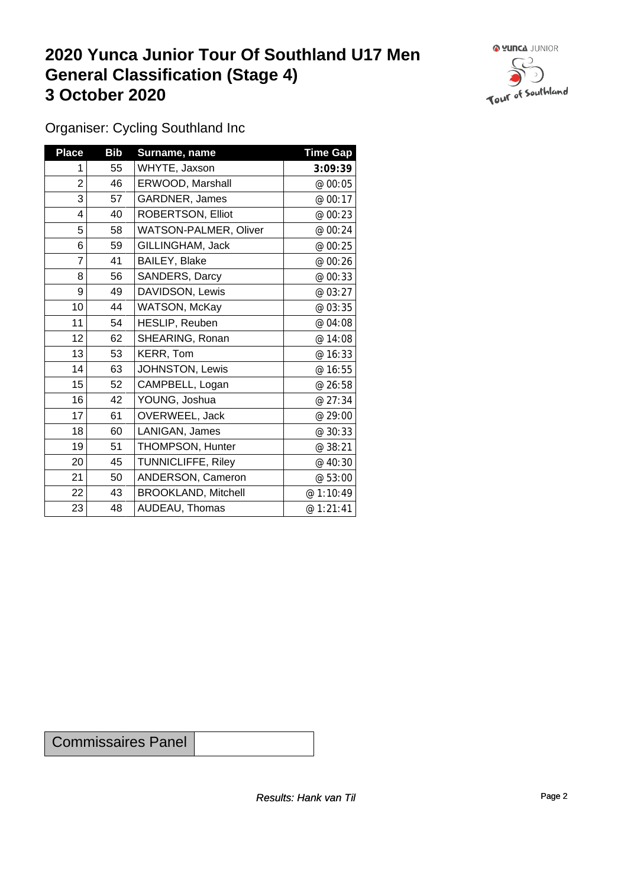## **2020 Yunca Junior Tour Of Southland U17 Men General Classification (Stage 4)**<br> **3 October 2020 3 October 2020**



Organiser: Cycling Southland Inc

| <b>Place</b>   | <b>Bib</b> | Surname, name                | <b>Time Gap</b> |
|----------------|------------|------------------------------|-----------------|
| 1              | 55         | WHYTE, Jaxson                | 3:09:39         |
| $\overline{2}$ | 46         | ERWOOD, Marshall             | @ 00:05         |
| 3              | 57         | GARDNER, James               | @ 00:17         |
| 4              | 40         | ROBERTSON, Elliot            | @ 00:23         |
| 5              | 58         | <b>WATSON-PALMER, Oliver</b> | @ 00:24         |
| 6              | 59         | GILLINGHAM, Jack             | @ 00:25         |
| 7              | 41         | BAILEY, Blake                | @ 00:26         |
| 8              | 56         | SANDERS, Darcy               | @ 00:33         |
| 9              | 49         | DAVIDSON, Lewis              | @ 03:27         |
| 10             | 44         | WATSON, McKay                | @ 03:35         |
| 11             | 54         | HESLIP, Reuben               | @ 04:08         |
| 12             | 62         | SHEARING, Ronan              | @ 14:08         |
| 13             | 53         | KERR, Tom                    | @ 16:33         |
| 14             | 63         | JOHNSTON, Lewis              | @ 16:55         |
| 15             | 52         | CAMPBELL, Logan              | @ 26:58         |
| 16             | 42         | YOUNG, Joshua                | @ 27:34         |
| 17             | 61         | OVERWEEL, Jack               | @ 29:00         |
| 18             | 60         | LANIGAN, James               | @ 30:33         |
| 19             | 51         | THOMPSON, Hunter             | @ 38:21         |
| 20             | 45         | <b>TUNNICLIFFE, Riley</b>    | @ 40:30         |
| 21             | 50         | ANDERSON, Cameron            | @ 53:00         |
| 22             | 43         | <b>BROOKLAND, Mitchell</b>   | @ 1:10:49       |
| 23             | 48         | AUDEAU, Thomas               | @ 1:21:41       |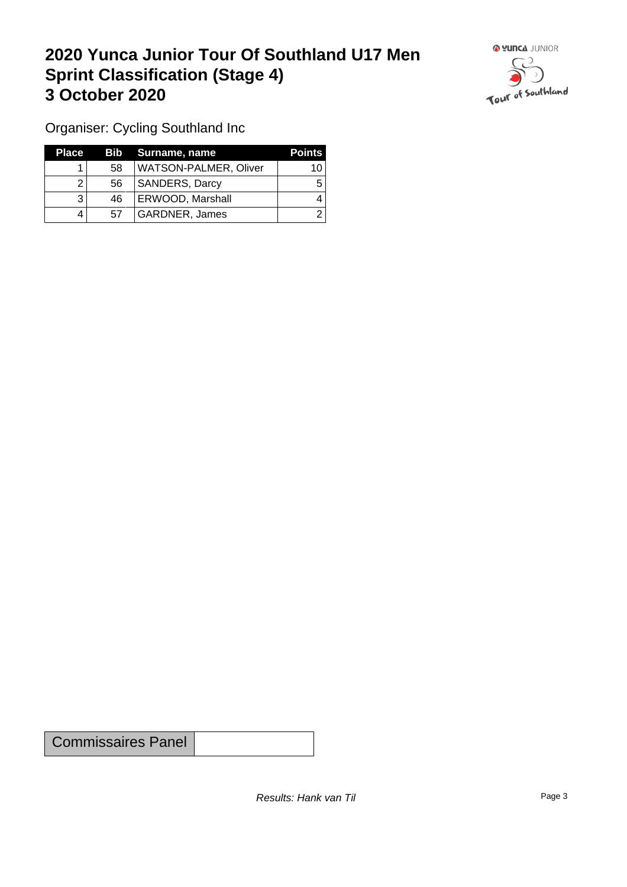## **2020 Yunca Junior Tour Of Southland U17 Men Sprint Classification (Stage 4) 3 October 2020**



Organiser: Cycling Southland Inc

| Place |     | Bib Surname, name            | <b>Points</b> |
|-------|-----|------------------------------|---------------|
|       | 58  | <b>WATSON-PALMER, Oliver</b> | 10            |
|       | 56  | <b>SANDERS, Darcy</b>        |               |
|       | -46 | <b>ERWOOD, Marshall</b>      |               |
|       | 57  | GARDNER, James               |               |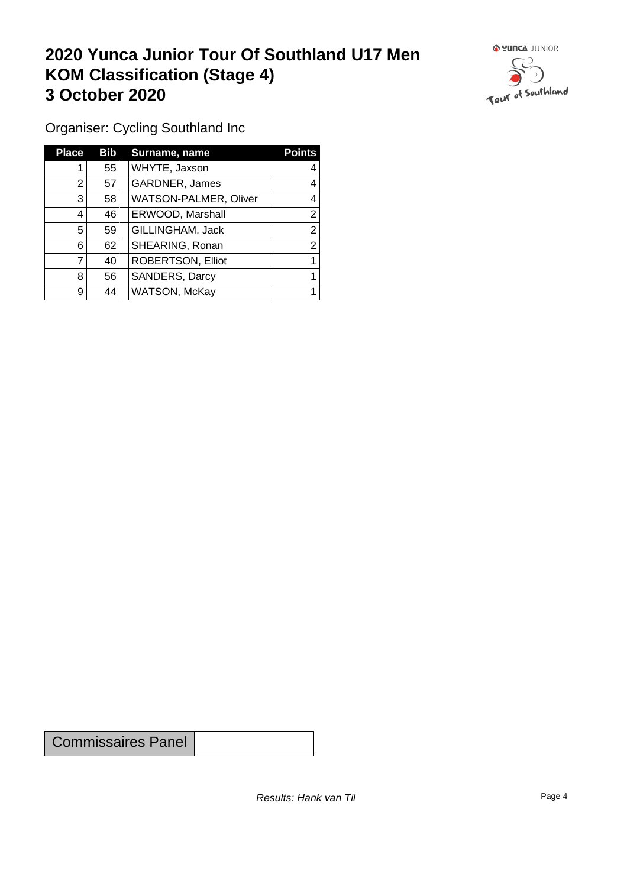## **2020 Yunca Junior Tour Of Southland U17 Men KOM Classification (Stage 4) 3 October 2020**



Organiser: Cycling Southland Inc

| <b>Place</b>   | Bib | Surname, name                | <b>Points</b> |
|----------------|-----|------------------------------|---------------|
|                | 55  | WHYTE, Jaxson                | 4             |
| 2              | 57  | GARDNER, James               | 4             |
| 3              | 58  | <b>WATSON-PALMER, Oliver</b> | 4             |
| 4              | 46  | ERWOOD, Marshall             | 2             |
| 5              | 59  | GILLINGHAM, Jack             | າ             |
| 6              | 62  | SHEARING, Ronan              | っ             |
|                | 40  | <b>ROBERTSON, Elliot</b>     |               |
| 8              | 56  | SANDERS, Darcy               |               |
| 9 <sup>1</sup> | 44  | WATSON, McKay                |               |